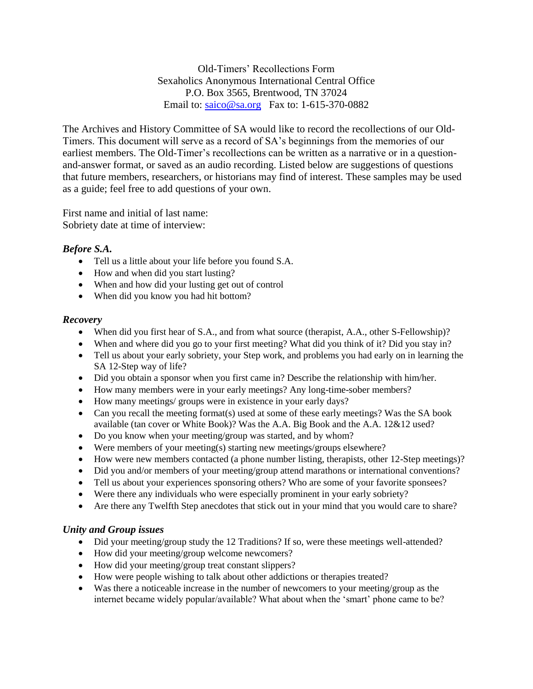Old-Timers' Recollections Form Sexaholics Anonymous International Central Office P.O. Box 3565, Brentwood, TN 37024 Email to: [saico@sa.org](mailto:saico@sa.org) Fax to: 1-615-370-0882

The Archives and History Committee of SA would like to record the recollections of our Old-Timers. This document will serve as a record of SA's beginnings from the memories of our earliest members. The Old-Timer's recollections can be written as a narrative or in a questionand-answer format, or saved as an audio recording. Listed below are suggestions of questions that future members, researchers, or historians may find of interest. These samples may be used as a guide; feel free to add questions of your own.

First name and initial of last name: Sobriety date at time of interview:

## *Before S.A.*

- Tell us a little about your life before you found S.A.
- How and when did you start lusting?
- When and how did your lusting get out of control
- When did you know you had hit bottom?

## *Recovery*

- When did you first hear of S.A., and from what source (therapist, A.A., other S-Fellowship)?
- When and where did you go to your first meeting? What did you think of it? Did you stay in?
- Tell us about your early sobriety, your Step work, and problems you had early on in learning the SA 12-Step way of life?
- Did you obtain a sponsor when you first came in? Describe the relationship with him/her.
- How many members were in your early meetings? Any long-time-sober members?
- How many meetings/ groups were in existence in your early days?
- Can you recall the meeting format(s) used at some of these early meetings? Was the SA book available (tan cover or White Book)? Was the A.A. Big Book and the A.A. 12&12 used?
- Do you know when your meeting/group was started, and by whom?
- Were members of your meeting(s) starting new meetings/groups elsewhere?
- How were new members contacted (a phone number listing, therapists, other 12-Step meetings)?
- Did you and/or members of your meeting/group attend marathons or international conventions?
- Tell us about your experiences sponsoring others? Who are some of your favorite sponsees?
- Were there any individuals who were especially prominent in your early sobriety?
- Are there any Twelfth Step anecdotes that stick out in your mind that you would care to share?

## *Unity and Group issues*

- Did your meeting/group study the 12 Traditions? If so, were these meetings well-attended?
- How did your meeting/group welcome newcomers?
- How did your meeting/group treat constant slippers?
- How were people wishing to talk about other addictions or therapies treated?
- Was there a noticeable increase in the number of newcomers to your meeting/group as the internet became widely popular/available? What about when the 'smart' phone came to be?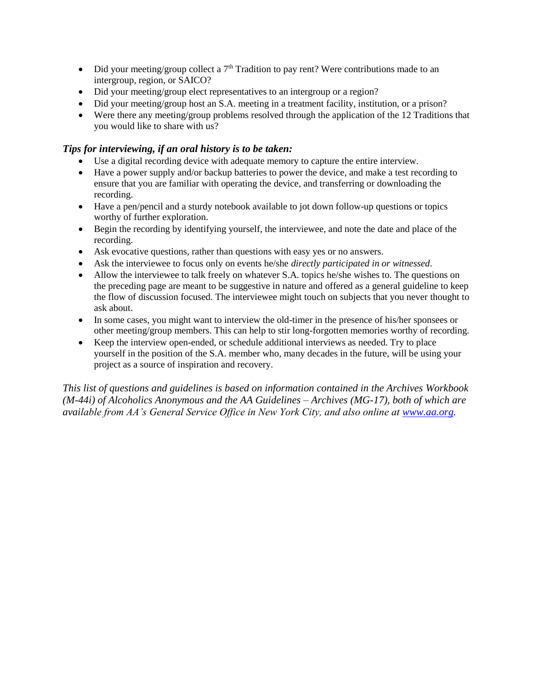- Did your meeting/group collect a  $7<sup>th</sup>$  Tradition to pay rent? Were contributions made to an intergroup, region, or SAICO?
- Did your meeting/group elect representatives to an intergroup or a region?
- Did your meeting/group host an S.A. meeting in a treatment facility, institution, or a prison?
- Were there any meeting/group problems resolved through the application of the 12 Traditions that you would like to share with us?

## *Tips for interviewing, if an oral history is to be taken:*

- Use a digital recording device with adequate memory to capture the entire interview.
- Have a power supply and/or backup batteries to power the device, and make a test recording to ensure that you are familiar with operating the device, and transferring or downloading the recording.
- Have a pen/pencil and a sturdy notebook available to jot down follow-up questions or topics worthy of further exploration.
- Begin the recording by identifying yourself, the interviewee, and note the date and place of the recording.
- Ask evocative questions, rather than questions with easy yes or no answers.
- Ask the interviewee to focus only on events he/she *directly participated in or witnessed*.
- Allow the interviewee to talk freely on whatever S.A. topics he/she wishes to. The questions on the preceding page are meant to be suggestive in nature and offered as a general guideline to keep the flow of discussion focused. The interviewee might touch on subjects that you never thought to ask about.
- In some cases, you might want to interview the old-timer in the presence of his/her sponsees or other meeting/group members. This can help to stir long-forgotten memories worthy of recording.
- Keep the interview open-ended, or schedule additional interviews as needed. Try to place yourself in the position of the S.A. member who, many decades in the future, will be using your project as a source of inspiration and recovery.

*This list of questions and guidelines is based on information contained in the Archives Workbook (M-44i) of Alcoholics Anonymous and the AA Guidelines – Archives (MG-17), both of which are available from AA's General Service Office in New York City, and also online at [www.aa.org.](http://www.aa.org/)*